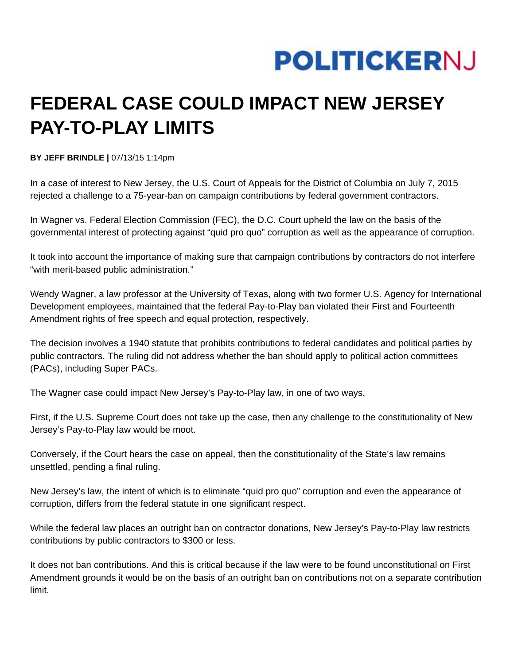## **POLITICKERNJ**

## **FEDERAL CASE COULD IMPACT NEW JERSEY PAY-TO-PLAY LIMITS**

**BY JEFF BRINDLE |** 07/13/15 1:14pm

In a case of interest to New Jersey, the U.S. Court of Appeals for the District of Columbia on July 7, 2015 rejected a challenge to a 75-year-ban on campaign contributions by federal government contractors.

In Wagner vs. Federal Election Commission (FEC), the D.C. Court upheld the law on the basis of the governmental interest of protecting against "quid pro quo" corruption as well as the appearance of corruption.

It took into account the importance of making sure that campaign contributions by contractors do not interfere "with merit-based public administration."

Wendy Wagner, a law professor at the University of Texas, along with two former U.S. Agency for International Development employees, maintained that the federal Pay-to-Play ban violated their First and Fourteenth Amendment rights of free speech and equal protection, respectively.

The decision involves a 1940 statute that prohibits contributions to federal candidates and political parties by public contractors. The ruling did not address whether the ban should apply to political action committees (PACs), including Super PACs.

The Wagner case could impact New Jersey's Pay-to-Play law, in one of two ways.

First, if the U.S. Supreme Court does not take up the case, then any challenge to the constitutionality of New Jersey's Pay-to-Play law would be moot.

Conversely, if the Court hears the case on appeal, then the constitutionality of the State's law remains unsettled, pending a final ruling.

New Jersey's law, the intent of which is to eliminate "quid pro quo" corruption and even the appearance of corruption, differs from the federal statute in one significant respect.

While the federal law places an outright ban on contractor donations, New Jersey's Pay-to-Play law restricts contributions by public contractors to \$300 or less.

It does not ban contributions. And this is critical because if the law were to be found unconstitutional on First Amendment grounds it would be on the basis of an outright ban on contributions not on a separate contribution limit.